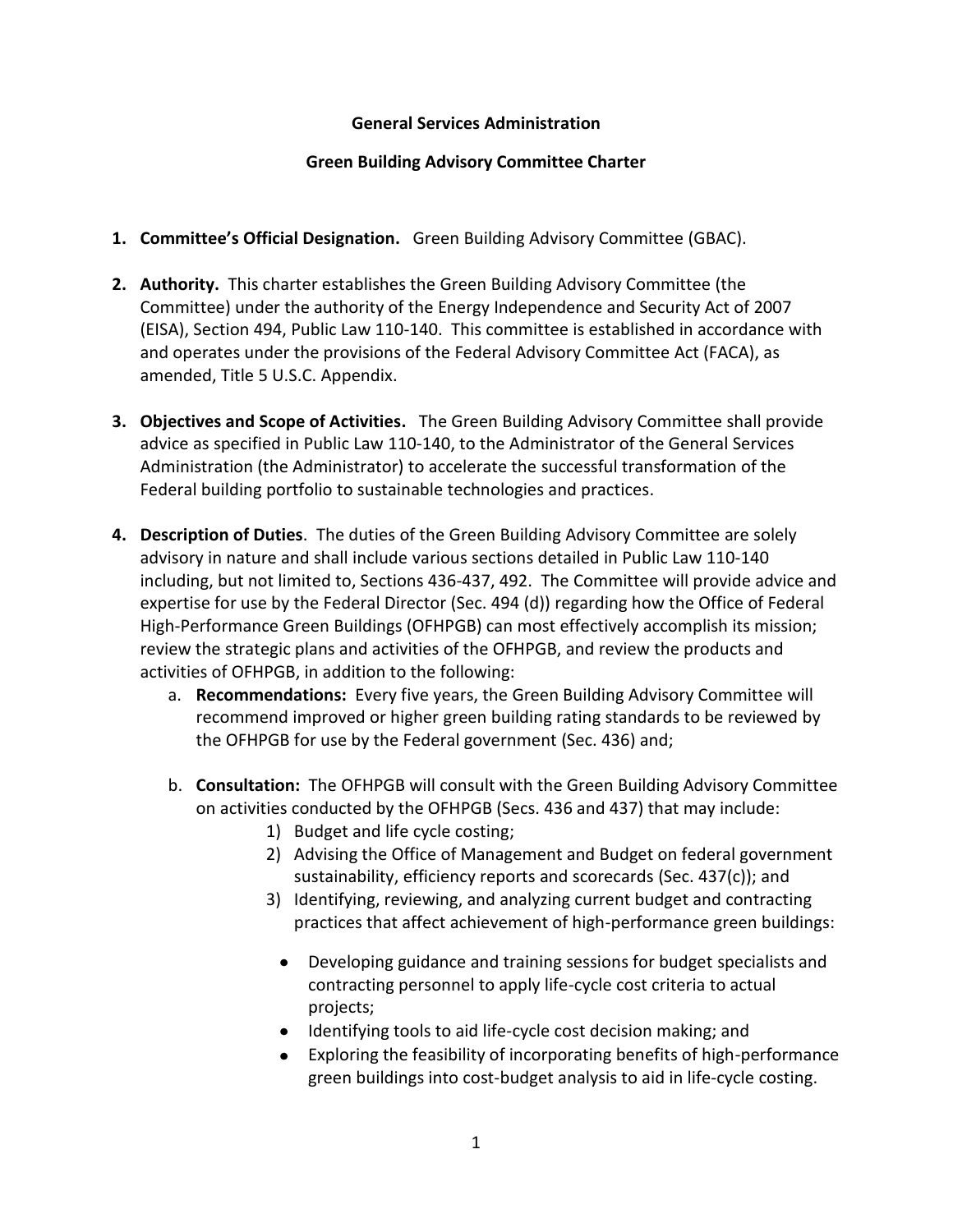## **General Services Administration**

## **Green Building Advisory Committee Charter**

- **1. Committee's Official Designation.** Green Building Advisory Committee (GBAC).
- **2. Authority.** This charter establishes the Green Building Advisory Committee (the Committee) under the authority of the Energy Independence and Security Act of 2007 (EISA), Section 494, Public Law 110-140. This committee is established in accordance with and operates under the provisions of the Federal Advisory Committee Act (FACA), as amended, Title 5 U.S.C. Appendix.
- **3. Objectives and Scope of Activities.** The Green Building Advisory Committee shall provide advice as specified in Public Law 110-140, to the Administrator of the General Services Administration (the Administrator) to accelerate the successful transformation of the Federal building portfolio to sustainable technologies and practices.
- **4. Description of Duties**. The duties of the Green Building Advisory Committee are solely advisory in nature and shall include various sections detailed in Public Law 110-140 including, but not limited to, Sections 436-437, 492. The Committee will provide advice and expertise for use by the Federal Director (Sec. 494 (d)) regarding how the Office of Federal High-Performance Green Buildings (OFHPGB) can most effectively accomplish its mission; review the strategic plans and activities of the OFHPGB, and review the products and activities of OFHPGB, in addition to the following:
	- a. **Recommendations:** Every five years, the Green Building Advisory Committee will recommend improved or higher green building rating standards to be reviewed by the OFHPGB for use by the Federal government (Sec. 436) and;
	- b. **Consultation:** The OFHPGB will consult with the Green Building Advisory Committee on activities conducted by the OFHPGB (Secs. 436 and 437) that may include:
		- 1) Budget and life cycle costing;
		- 2) Advising the Office of Management and Budget on federal government sustainability, efficiency reports and scorecards (Sec. 437(c)); and
		- 3) Identifying, reviewing, and analyzing current budget and contracting practices that affect achievement of high-performance green buildings:
			- Developing guidance and training sessions for budget specialists and contracting personnel to apply life-cycle cost criteria to actual projects;
			- Identifying tools to aid life-cycle cost decision making; and
			- Exploring the feasibility of incorporating benefits of high-performance green buildings into cost-budget analysis to aid in life-cycle costing.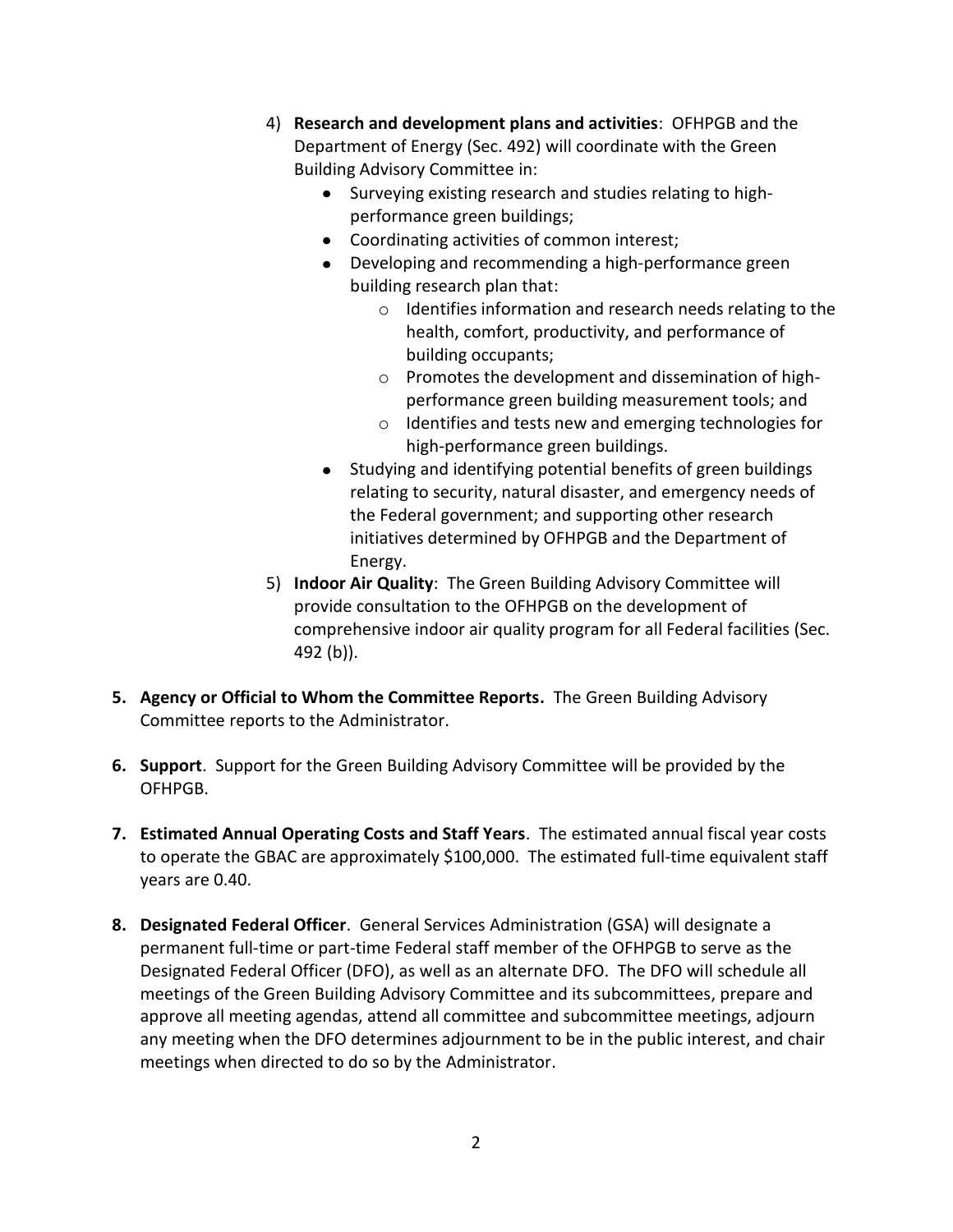- 4) **Research and development plans and activities**: OFHPGB and the Department of Energy (Sec. 492) will coordinate with the Green Building Advisory Committee in:
	- Surveying existing research and studies relating to highperformance green buildings;
	- Coordinating activities of common interest;
	- Developing and recommending a high-performance green building research plan that:
		- o Identifies information and research needs relating to the health, comfort, productivity, and performance of building occupants;
		- o Promotes the development and dissemination of highperformance green building measurement tools; and
		- o Identifies and tests new and emerging technologies for high-performance green buildings.
	- Studying and identifying potential benefits of green buildings relating to security, natural disaster, and emergency needs of the Federal government; and supporting other research initiatives determined by OFHPGB and the Department of Energy.
- 5) **Indoor Air Quality**: The Green Building Advisory Committee will provide consultation to the OFHPGB on the development of comprehensive indoor air quality program for all Federal facilities (Sec. 492 (b)).
- **5. Agency or Official to Whom the Committee Reports.** The Green Building Advisory Committee reports to the Administrator.
- **6. Support**. Support for the Green Building Advisory Committee will be provided by the OFHPGB.
- **7. Estimated Annual Operating Costs and Staff Years**. The estimated annual fiscal year costs to operate the GBAC are approximately \$100,000. The estimated full-time equivalent staff years are 0.40.
- **8. Designated Federal Officer**. General Services Administration (GSA) will designate a permanent full-time or part-time Federal staff member of the OFHPGB to serve as the Designated Federal Officer (DFO), as well as an alternate DFO. The DFO will schedule all meetings of the Green Building Advisory Committee and its subcommittees, prepare and approve all meeting agendas, attend all committee and subcommittee meetings, adjourn any meeting when the DFO determines adjournment to be in the public interest, and chair meetings when directed to do so by the Administrator.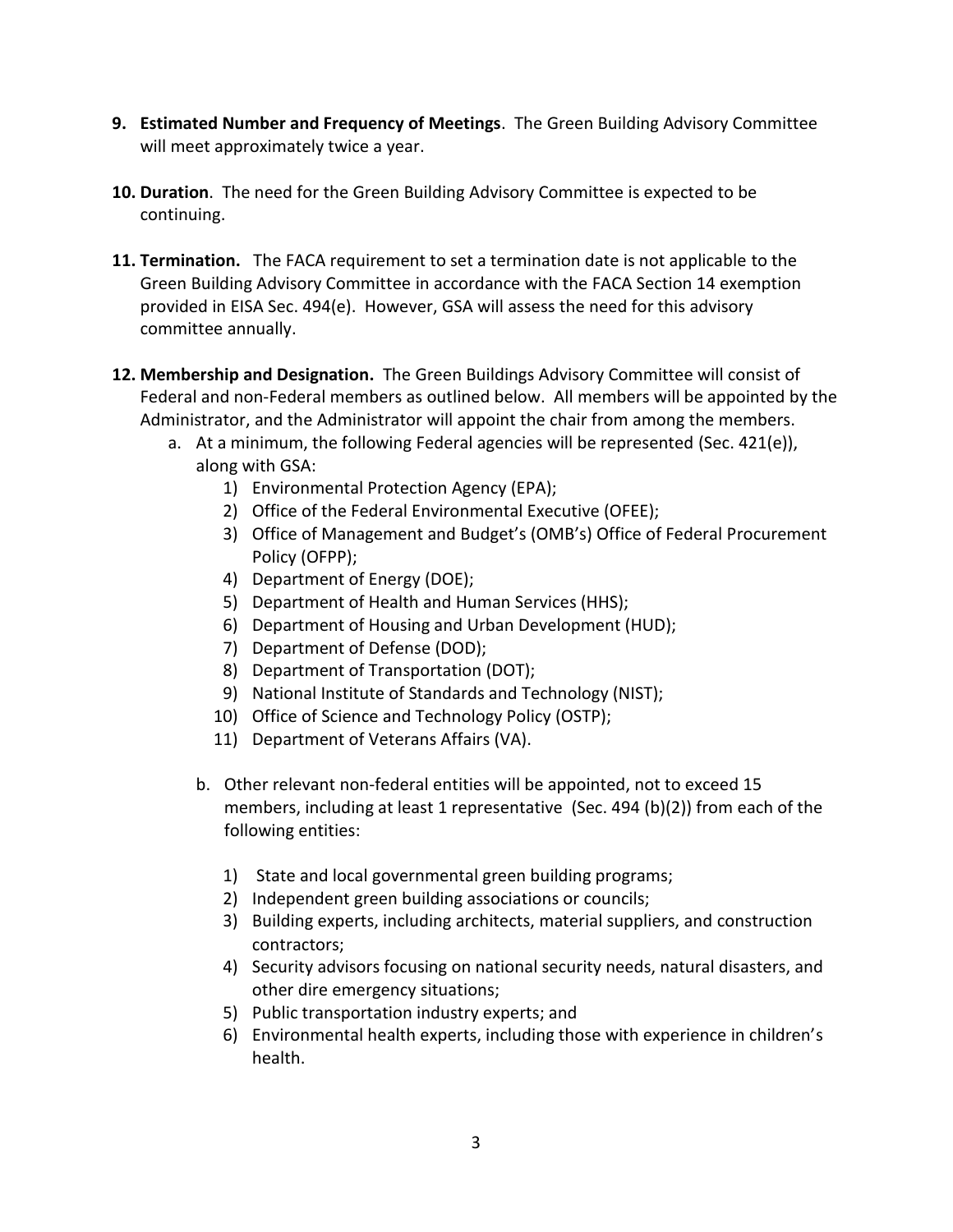- **9. Estimated Number and Frequency of Meetings**. The Green Building Advisory Committee will meet approximately twice a year.
- **10. Duration**. The need for the Green Building Advisory Committee is expected to be continuing.
- **11. Termination.** The FACA requirement to set a termination date is not applicable to the Green Building Advisory Committee in accordance with the FACA Section 14 exemption provided in EISA Sec. 494(e). However, GSA will assess the need for this advisory committee annually.
- **12. Membership and Designation.** The Green Buildings Advisory Committee will consist of Federal and non-Federal members as outlined below. All members will be appointed by the Administrator, and the Administrator will appoint the chair from among the members.
	- a. At a minimum, the following Federal agencies will be represented (Sec. 421(e)), along with GSA:
		- 1) Environmental Protection Agency (EPA);
		- 2) Office of the Federal Environmental Executive (OFEE);
		- 3) Office of Management and Budget's (OMB's) Office of Federal Procurement Policy (OFPP);
		- 4) Department of Energy (DOE);
		- 5) Department of Health and Human Services (HHS);
		- 6) Department of Housing and Urban Development (HUD);
		- 7) Department of Defense (DOD);
		- 8) Department of Transportation (DOT);
		- 9) National Institute of Standards and Technology (NIST);
		- 10) Office of Science and Technology Policy (OSTP);
		- 11) Department of Veterans Affairs (VA).
		- b. Other relevant non-federal entities will be appointed, not to exceed 15 members, including at least 1 representative (Sec. 494 (b)(2)) from each of the following entities:
			- 1) State and local governmental green building programs;
			- 2) Independent green building associations or councils;
			- 3) Building experts, including architects, material suppliers, and construction contractors;
			- 4) Security advisors focusing on national security needs, natural disasters, and other dire emergency situations;
			- 5) Public transportation industry experts; and
			- 6) Environmental health experts, including those with experience in children's health.